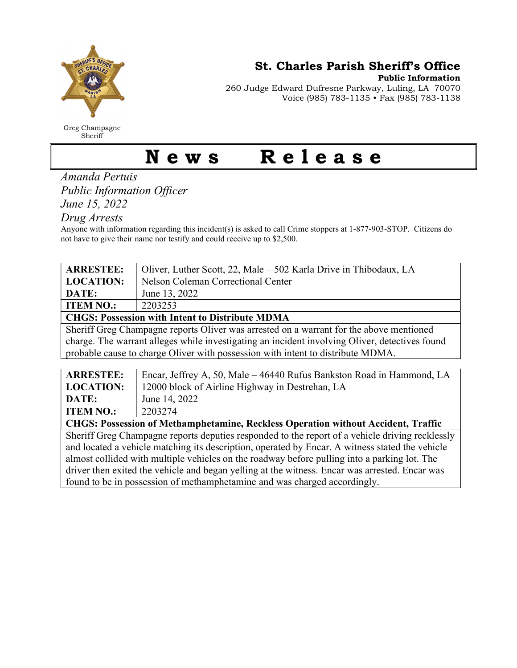

Greg Champagne Sheriff

St. Charles Parish Sheriff's Office

Public Information

260 Judge Edward Dufresne Parkway, Luling, LA 70070 Voice (985) 783-1135 • Fax (985) 783-1138

## News Release

Amanda Pertuis Public Information Officer

June 15, 2022

Drug Arrests

Anyone with information regarding this incident(s) is asked to call Crime stoppers at 1-877-903-STOP. Citizens do not have to give their name nor testify and could receive up to \$2,500.

| <b>ARRESTEE:</b>                                                                               | Oliver, Luther Scott, 22, Male – 502 Karla Drive in Thibodaux, LA |  |
|------------------------------------------------------------------------------------------------|-------------------------------------------------------------------|--|
| <b>LOCATION:</b>                                                                               | Nelson Coleman Correctional Center                                |  |
| DATE:                                                                                          | June 13, 2022                                                     |  |
| <b>ITEM NO.:</b>                                                                               | 2203253                                                           |  |
| <b>CHGS: Possession with Intent to Distribute MDMA</b>                                         |                                                                   |  |
| Sheriff Greg Champagne reports Oliver was arrested on a warrant for the above mentioned        |                                                                   |  |
| charge. The warrant alleges while investigating an incident involving Oliver, detectives found |                                                                   |  |
| probable cause to charge Oliver with possession with intent to distribute MDMA.                |                                                                   |  |

| <b>ARRESTEE:</b>                                                                                        | Encar, Jeffrey A, 50, Male – 46440 Rufus Bankston Road in Hammond, LA |
|---------------------------------------------------------------------------------------------------------|-----------------------------------------------------------------------|
| <b>LOCATION:</b>                                                                                        | 12000 block of Airline Highway in Destrehan, LA                       |
| DATE:                                                                                                   | June 14, 2022                                                         |
| <b>ITEM NO.:</b>                                                                                        | 2203274                                                               |
| CHGS: Possession of Methamphetamine, Reckless Operation without Accident, Traffic                       |                                                                       |
| $\Box$ Sheriff Great Champagne reports deputies responded to the report of a vehicle driving recklessly |                                                                       |

Sheriff Greg Champagne reports deputies responded to the report of a vehicle driving recklessly and located a vehicle matching its description, operated by Encar. A witness stated the vehicle almost collided with multiple vehicles on the roadway before pulling into a parking lot. The driver then exited the vehicle and began yelling at the witness. Encar was arrested. Encar was found to be in possession of methamphetamine and was charged accordingly.